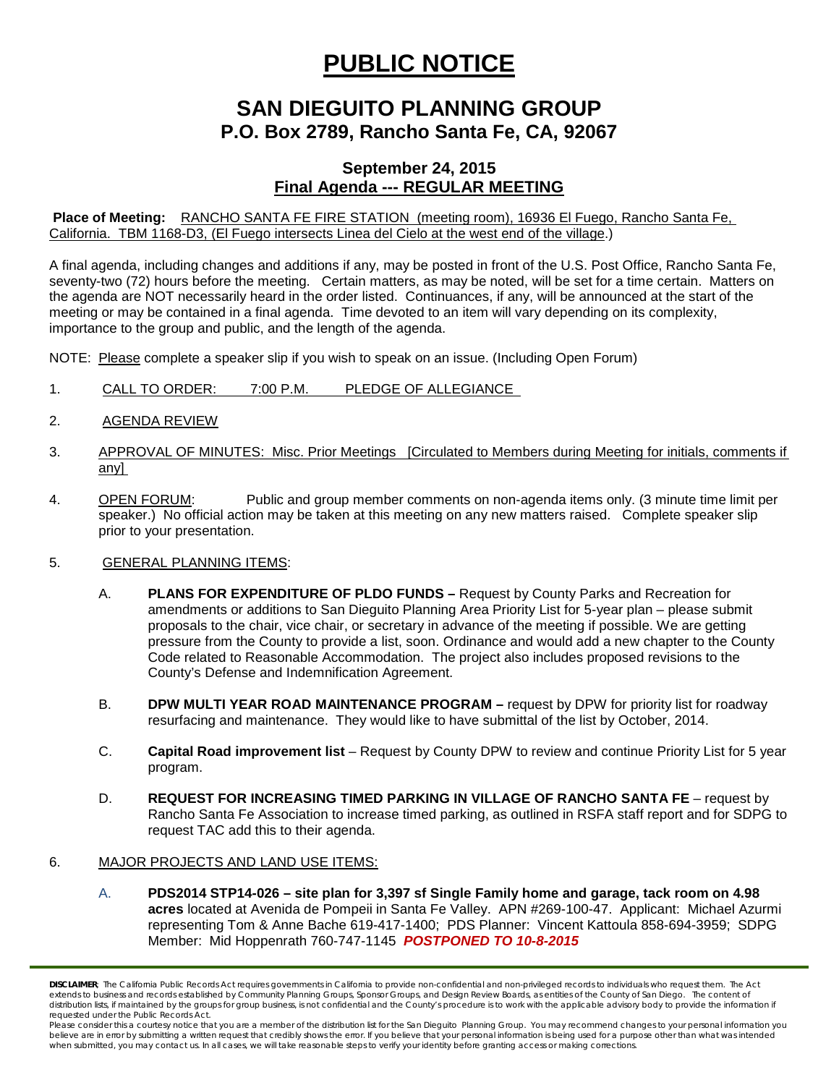## **PUBLIC NOTICE**

## **SAN DIEGUITO PLANNING GROUP P.O. Box 2789, Rancho Santa Fe, CA, 92067**

## **September 24, 2015 Final Agenda --- REGULAR MEETING**

**Place of Meeting:** RANCHO SANTA FE FIRE STATION (meeting room), 16936 El Fuego, Rancho Santa Fe, California. TBM 1168-D3, (El Fuego intersects Linea del Cielo at the west end of the village.)

A final agenda, including changes and additions if any, may be posted in front of the U.S. Post Office, Rancho Santa Fe, seventy-two (72) hours before the meeting. Certain matters, as may be noted, will be set for a time certain. Matters on the agenda are NOT necessarily heard in the order listed. Continuances, if any, will be announced at the start of the meeting or may be contained in a final agenda. Time devoted to an item will vary depending on its complexity, importance to the group and public, and the length of the agenda.

NOTE: Please complete a speaker slip if you wish to speak on an issue. (Including Open Forum)

- 1. CALL TO ORDER: 7:00 P.M. PLEDGE OF ALLEGIANCE
- 2. AGENDA REVIEW
- 3. APPROVAL OF MINUTES: Misc. Prior Meetings [Circulated to Members during Meeting for initials, comments if any]
- 4. OPEN FORUM: Public and group member comments on non-agenda items only. (3 minute time limit per speaker.) No official action may be taken at this meeting on any new matters raised. Complete speaker slip prior to your presentation.
- 5. GENERAL PLANNING ITEMS:
	- A. **PLANS FOR EXPENDITURE OF PLDO FUNDS –** Request by County Parks and Recreation for amendments or additions to San Dieguito Planning Area Priority List for 5-year plan – please submit proposals to the chair, vice chair, or secretary in advance of the meeting if possible. We are getting pressure from the County to provide a list, soon. Ordinance and would add a new chapter to the County Code related to Reasonable Accommodation. The project also includes proposed revisions to the County's Defense and Indemnification Agreement.
	- B. **DPW MULTI YEAR ROAD MAINTENANCE PROGRAM** request by DPW for priority list for roadway resurfacing and maintenance. They would like to have submittal of the list by October, 2014.
	- C. **Capital Road improvement list**  Request by County DPW to review and continue Priority List for 5 year program.
	- D. **REQUEST FOR INCREASING TIMED PARKING IN VILLAGE OF RANCHO SANTA FE request by** Rancho Santa Fe Association to increase timed parking, as outlined in RSFA staff report and for SDPG to request TAC add this to their agenda.
- 6. MAJOR PROJECTS AND LAND USE ITEMS:
	- A. **PDS2014 STP14-026 – site plan for 3,397 sf Single Family home and garage, tack room on 4.98 acres** located at Avenida de Pompeii in Santa Fe Valley. APN #269-100-47. Applicant: Michael Azurmi representing Tom & Anne Bache 619-417-1400; PDS Planner: Vincent Kattoula 858-694-3959; SDPG Member: Mid Hoppenrath 760-747-1145 *POSTPONED TO 10-8-2015*

*DISCLAIMER; The California Public Records Act requires governments in California to provide non-confidential and non-privileged records to individuals who request them. The Act*  extends to business and records established by Community Planning Groups, Sponsor Groups, and Design Review Boards, as entities of the County of San Diego. The content of distribution lists, if maintained by the groups for group business, is not confidential and the County's procedure is to work with the applicable advisory body to provide the information if *requested under the Public Records Act.*

Please consider this a courtesy notice that you are a member of the distribution list for the San Dieguito Planning Group. You may recommend changes to your personal information you believe are in error by submitting a written request that credibly shows the error. If you believe that your personal information is being used for a purpose other than what was intended<br>when submitted, you may contact us.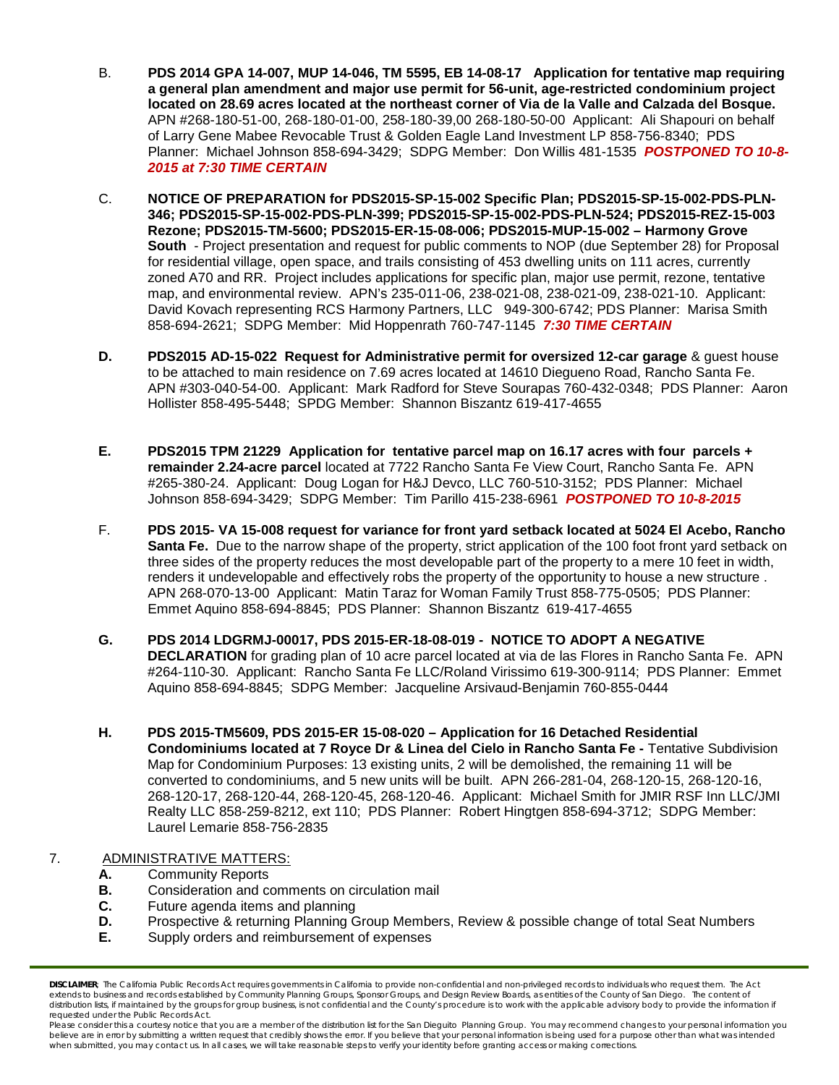- B. **PDS 2014 GPA 14-007, MUP 14-046, TM 5595, EB 14-08-17 Application for tentative map requiring a general plan amendment and major use permit for 56-unit, age-restricted condominium project located on 28.69 acres located at the northeast corner of Via de la Valle and Calzada del Bosque.**  APN #268-180-51-00, 268-180-01-00, 258-180-39,00 268-180-50-00 Applicant: Ali Shapouri on behalf of Larry Gene Mabee Revocable Trust & Golden Eagle Land Investment LP 858-756-8340; PDS Planner: Michael Johnson 858-694-3429; SDPG Member: Don Willis 481-1535 *POSTPONED TO 10-8- 2015 at 7:30 TIME CERTAIN*
- C. **NOTICE OF PREPARATION for PDS2015-SP-15-002 Specific Plan; PDS2015-SP-15-002-PDS-PLN-346; PDS2015-SP-15-002-PDS-PLN-399; PDS2015-SP-15-002-PDS-PLN-524; PDS2015-REZ-15-003 Rezone; PDS2015-TM-5600; PDS2015-ER-15-08-006; PDS2015-MUP-15-002 – Harmony Grove South** - Project presentation and request for public comments to NOP (due September 28) for Proposal for residential village, open space, and trails consisting of 453 dwelling units on 111 acres, currently zoned A70 and RR. Project includes applications for specific plan, major use permit, rezone, tentative map, and environmental review. APN's 235-011-06, 238-021-08, 238-021-09, 238-021-10. Applicant: David Kovach representing RCS Harmony Partners, LLC 949-300-6742; PDS Planner: Marisa Smith 858-694-2621; SDPG Member: Mid Hoppenrath 760-747-1145 *7:30 TIME CERTAIN*
- **D. PDS2015 AD-15-022 Request for Administrative permit for oversized 12-car garage** & guest house to be attached to main residence on 7.69 acres located at 14610 Diegueno Road, Rancho Santa Fe. APN #303-040-54-00. Applicant: Mark Radford for Steve Sourapas 760-432-0348; PDS Planner: Aaron Hollister 858-495-5448; SPDG Member: Shannon Biszantz 619-417-4655
- **E. PDS2015 TPM 21229 Application for tentative parcel map on 16.17 acres with four parcels + remainder 2.24-acre parcel** located at 7722 Rancho Santa Fe View Court, Rancho Santa Fe. APN #265-380-24. Applicant: Doug Logan for H&J Devco, LLC 760-510-3152; PDS Planner: Michael Johnson 858-694-3429; SDPG Member: Tim Parillo 415-238-6961 *POSTPONED TO 10-8-2015*
- F. **PDS 2015- VA 15-008 request for variance for front yard setback located at 5024 El Acebo, Rancho Santa Fe.** Due to the narrow shape of the property, strict application of the 100 foot front vard setback on three sides of the property reduces the most developable part of the property to a mere 10 feet in width, renders it undevelopable and effectively robs the property of the opportunity to house a new structure . APN 268-070-13-00 Applicant: Matin Taraz for Woman Family Trust 858-775-0505; PDS Planner: Emmet Aquino 858-694-8845; PDS Planner: Shannon Biszantz 619-417-4655
- **G. PDS 2014 LDGRMJ-00017, PDS 2015-ER-18-08-019 - NOTICE TO ADOPT A NEGATIVE DECLARATION** for grading plan of 10 acre parcel located at via de las Flores in Rancho Santa Fe. APN #264-110-30. Applicant: Rancho Santa Fe LLC/Roland Virissimo 619-300-9114; PDS Planner: Emmet Aquino 858-694-8845; SDPG Member: Jacqueline Arsivaud-Benjamin 760-855-0444
- **H. PDS 2015-TM5609, PDS 2015-ER 15-08-020 – Application for 16 Detached Residential Condominiums located at 7 Royce Dr & Linea del Cielo in Rancho Santa Fe -** Tentative Subdivision Map for Condominium Purposes: 13 existing units, 2 will be demolished, the remaining 11 will be converted to condominiums, and 5 new units will be built. APN 266-281-04, 268-120-15, 268-120-16, 268-120-17, 268-120-44, 268-120-45, 268-120-46. Applicant: Michael Smith for JMIR RSF Inn LLC/JMI Realty LLC 858-259-8212, ext 110; PDS Planner: Robert Hingtgen 858-694-3712; SDPG Member: Laurel Lemarie 858-756-2835

## 7. ADMINISTRATIVE MATTERS:

- **A.** Community Reports<br>**B.** Consideration and com-
- **B.** Consideration and comments on circulation mail<br>**C.** Future agenda items and planning
- Future agenda items and planning
- **D.** Prospective & returning Planning Group Members, Review & possible change of total Seat Numbers **E.** Supply orders and reimbursement of expenses
- **E.** Supply orders and reimbursement of expenses

*DISCLAIMER; The California Public Records Act requires governments in California to provide non-confidential and non-privileged records to individuals who request them. The Act*  extends to business and records established by Community Planning Groups, Sponsor Groups, and Design Review Boards, as entities of the County of San Diego. The content of distribution lists, if maintained by the groups for group business, is not confidential and the County's procedure is to work with the applicable advisory body to provide the information if *requested under the Public Records Act.*

Please consider this a courtesy notice that you are a member of the distribution list for the San Dieguito Planning Group. You may recommend changes to your personal information you believe are in error by submitting a written request that credibly shows the error. If you believe that your personal information is being used for a purpose other than what was intended<br>when submitted, you may contact us.